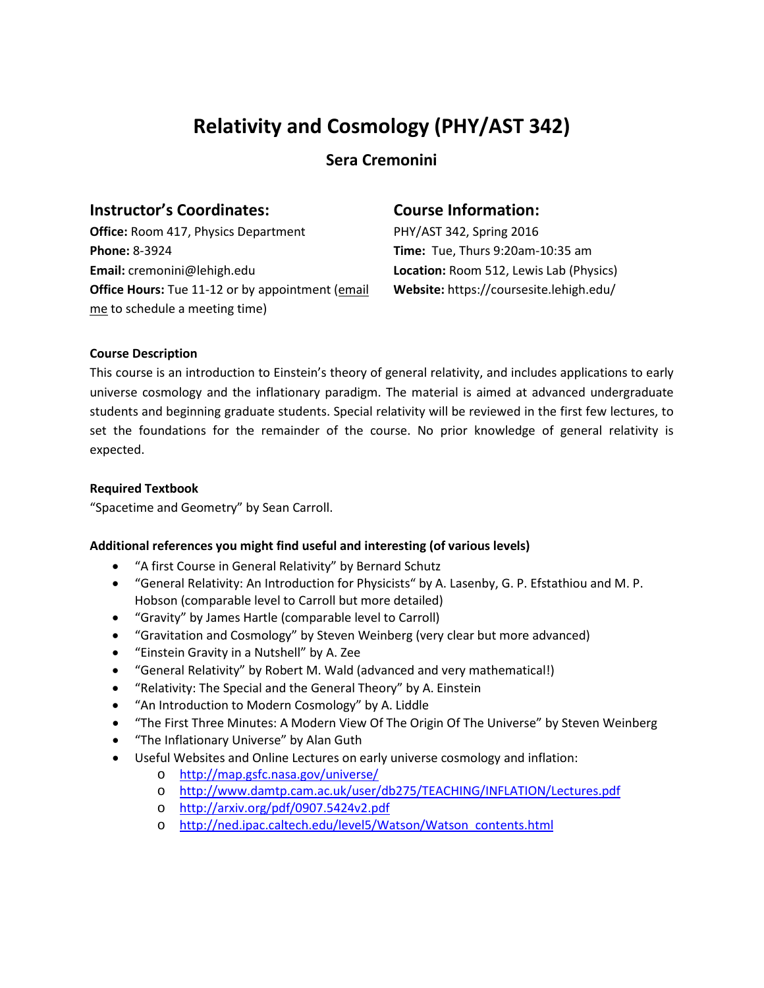## **Relativity and Cosmology (PHY/AST 342)**

**Sera Cremonini**

## **Instructor's Coordinates:**

**Office:** Room 417, Physics Department **Phone:** 8-3924 **Email:** cremonini@lehigh.edu **Office Hours:** Tue 11-12 or by appointment (email me to schedule a meeting time)

## **Course Information:**

PHY/AST 342, Spring 2016 **Time:** Tue, Thurs 9:20am-10:35 am **Location:** Room 512, Lewis Lab (Physics) **Website:** https://coursesite.lehigh.edu/

#### **Course Description**

This course is an introduction to Einstein's theory of general relativity, and includes applications to early universe cosmology and the inflationary paradigm. The material is aimed at advanced undergraduate students and beginning graduate students. Special relativity will be reviewed in the first few lectures, to set the foundations for the remainder of the course. No prior knowledge of general relativity is expected.

#### **Required Textbook**

"Spacetime and Geometry" by Sean Carroll.

### **Additional references you might find useful and interesting (of various levels)**

- "A first Course in General Relativity" by Bernard Schutz
- "General Relativity: An Introduction for Physicists" by A. Lasenby, G. P. Efstathiou and M. P. Hobson (comparable level to Carroll but more detailed)
- "Gravity" by James Hartle (comparable level to Carroll)
- "Gravitation and Cosmology" by Steven Weinberg (very clear but more advanced)
- "Einstein Gravity in a Nutshell" by A. Zee
- "General Relativity" by Robert M. Wald (advanced and very mathematical!)
- "Relativity: The Special and the General Theory" by A. Einstein
- "An Introduction to Modern Cosmology" by A. Liddle
- "The First Three Minutes: A Modern View Of The Origin Of The Universe" by Steven Weinberg
- "The Inflationary Universe" by Alan Guth
- Useful Websites and Online Lectures on early universe cosmology and inflation:
	- o <http://map.gsfc.nasa.gov/universe/>
		- o <http://www.damtp.cam.ac.uk/user/db275/TEACHING/INFLATION/Lectures.pdf>
		- o <http://arxiv.org/pdf/0907.5424v2.pdf>
		- o [http://ned.ipac.caltech.edu/level5/Watson/Watson\\_contents.html](http://ned.ipac.caltech.edu/level5/Watson/Watson_contents.html)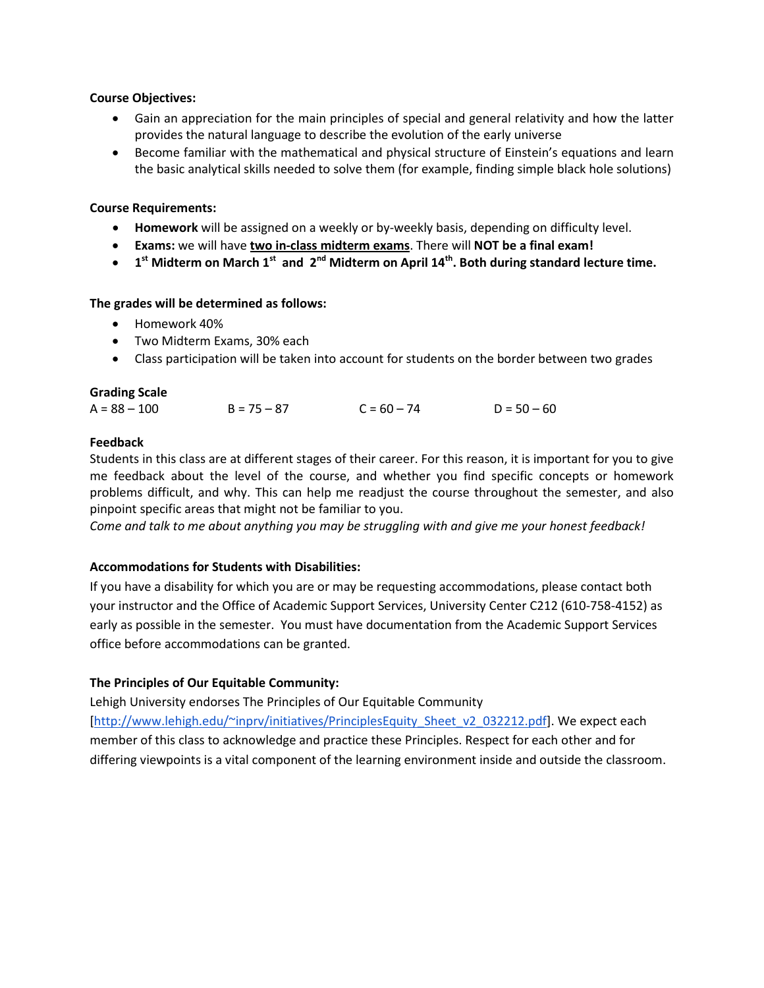#### **Course Objectives:**

- Gain an appreciation for the main principles of special and general relativity and how the latter provides the natural language to describe the evolution of the early universe
- Become familiar with the mathematical and physical structure of Einstein's equations and learn the basic analytical skills needed to solve them (for example, finding simple black hole solutions)

#### **Course Requirements:**

- **Homework** will be assigned on a weekly or by-weekly basis, depending on difficulty level.
- **Exams:** we will have **two in-class midterm exams**. There will **NOT be a final exam!**
- **1st Midterm on March 1st and 2nd Midterm on April 14th. Both during standard lecture time.**

#### **The grades will be determined as follows:**

- Homework 40%
- Two Midterm Exams, 30% each
- Class participation will be taken into account for students on the border between two grades

#### **Grading Scale**

| $A = 88 - 100$ | $B = 75 - 87$ | $C = 60 - 74$ | $D = 50 - 60$ |
|----------------|---------------|---------------|---------------|
|                |               |               |               |

#### **Feedback**

Students in this class are at different stages of their career. For this reason, it is important for you to give me feedback about the level of the course, and whether you find specific concepts or homework problems difficult, and why. This can help me readjust the course throughout the semester, and also pinpoint specific areas that might not be familiar to you.

*Come and talk to me about anything you may be struggling with and give me your honest feedback!*

#### **Accommodations for Students with Disabilities:**

If you have a disability for which you are or may be requesting accommodations, please contact both your instructor and the Office of Academic Support Services, University Center C212 (610-758-4152) as early as possible in the semester. You must have documentation from the Academic Support Services office before accommodations can be granted.

#### **The Principles of Our Equitable Community:**

Lehigh University endorses The Principles of Our Equitable Community [\[http://www.lehigh.edu/~inprv/initiatives/PrinciplesEquity\\_Sheet\\_v2\\_032212.pdf\]](http://www.lehigh.edu/~inprv/initiatives/PrinciplesEquity_Sheet_v2_032212.pdf). We expect each member of this class to acknowledge and practice these Principles. Respect for each other and for differing viewpoints is a vital component of the learning environment inside and outside the classroom.